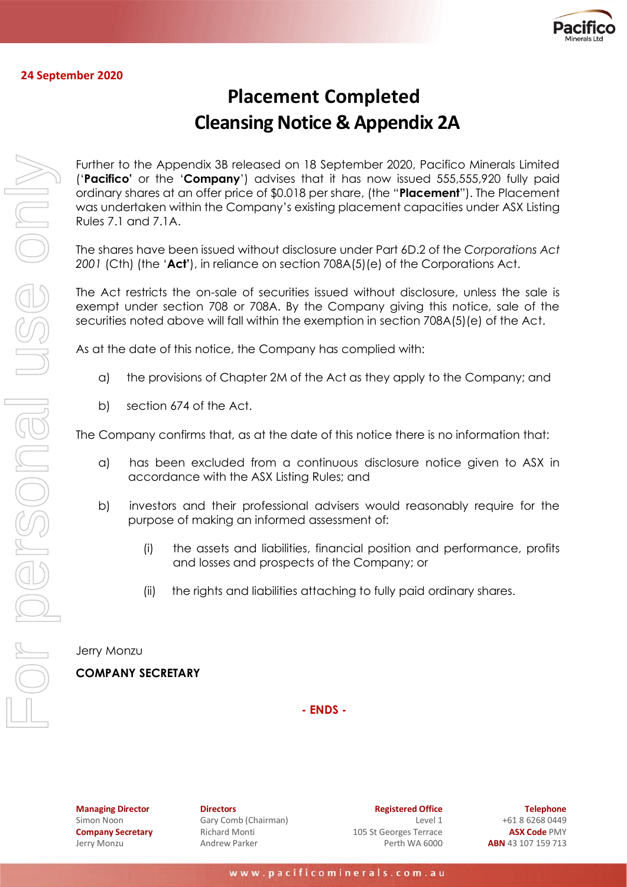

#### **24 September 2020**

# **Placement Completed Cleansing Notice & Appendix 2A**

Further to the Appendix 3B released on 18 September 2020, Pacifico Minerals Limited ('**Pacifico'** or the '**Company**') advises that it has now issued 555,555,920 fully paid ordinary shares at an offer price of \$0.018 per share, (the "**Placement**"). The Placement was undertaken within the Company's existing placement capacities under ASX Listing Rules 7.1 and 7.1A.

The shares have been issued without disclosure under Part 6D.2 of the *Corporations Act 2001* (Cth) (the '**Act'**), in reliance on section 708A(5)(e) of the Corporations Act.

The Act restricts the on-sale of securities issued without disclosure, unless the sale is exempt under section 708 or 708A. By the Company giving this notice, sale of the securities noted above will fall within the exemption in section 708A(5)(e) of the Act.

As at the date of this notice, the Company has complied with:

- a) the provisions of Chapter 2M of the Act as they apply to the Company; and
- b) section 674 of the Act.

The Company confirms that, as at the date of this notice there is no information that:

- a) has been excluded from a continuous disclosure notice given to ASX in accordance with the ASX Listing Rules; and
- b) investors and their professional advisers would reasonably require for the purpose of making an informed assessment of:
	- (i) the assets and liabilities, financial position and performance, profits and losses and prospects of the Company; or
	- (ii) the rights and liabilities attaching to fully paid ordinary shares.

Jerry Monzu

#### **COMPANY SECRETARY**

**- ENDS -**

**Managing Director** Simon Noon **Company Secretary** Jerry Monzu

**Directors** Gary Comb (Chairman) Richard Monti Andrew Parker

**Registered Office** Level 1 105 St Georges Terrace Perth WA 6000

**Telephone** +61 8 6268 0449 **ASX Code** PMY **ABN** 43 107 159 713

For personal use only NOSTSONGI USS ON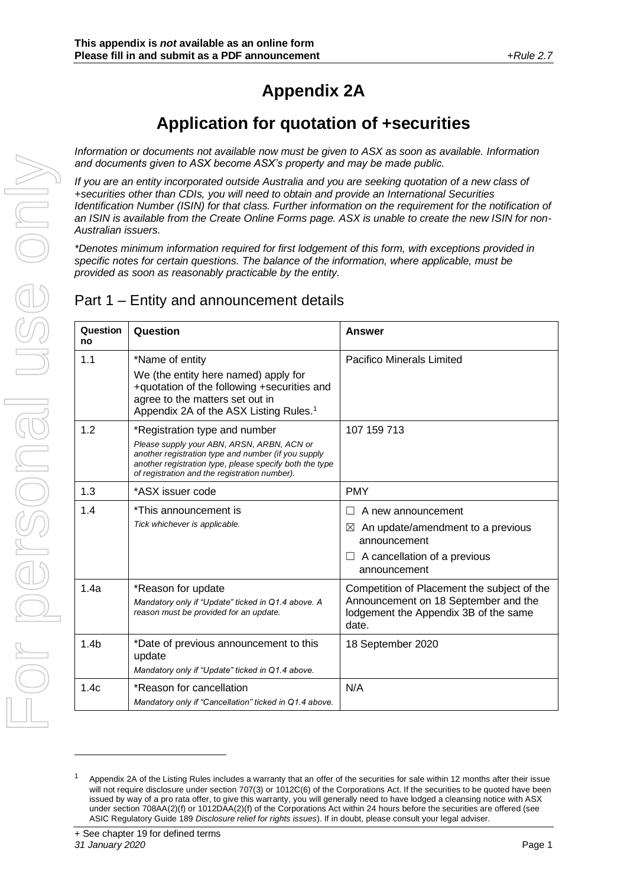# **Appendix 2A**

# **Application for quotation of +securities**

*Information or documents not available now must be given to ASX as soon as available. Information and documents given to ASX become ASX's property and may be made public.*

*If you are an entity incorporated outside Australia and you are seeking quotation of a new class of +securities other than CDIs, you will need to obtain and provide an International Securities Identification Number (ISIN) for that class. Further information on the requirement for the notification of an ISIN is available from the Create Online Forms page. ASX is unable to create the new ISIN for non-Australian issuers.* 

*\*Denotes minimum information required for first lodgement of this form, with exceptions provided in specific notes for certain questions. The balance of the information, where applicable, must be provided as soon as reasonably practicable by the entity.*

## Part 1 – Entity and announcement details

| Question<br>no   | Question                                                                                                                                                                                                                                       | <b>Answer</b>                                                                                                                            |
|------------------|------------------------------------------------------------------------------------------------------------------------------------------------------------------------------------------------------------------------------------------------|------------------------------------------------------------------------------------------------------------------------------------------|
| 1.1              | *Name of entity                                                                                                                                                                                                                                | <b>Pacifico Minerals Limited</b>                                                                                                         |
|                  | We (the entity here named) apply for<br>+quotation of the following +securities and<br>agree to the matters set out in<br>Appendix 2A of the ASX Listing Rules. <sup>1</sup>                                                                   |                                                                                                                                          |
| 1.2              | *Registration type and number<br>Please supply your ABN, ARSN, ARBN, ACN or<br>another registration type and number (if you supply<br>another registration type, please specify both the type<br>of registration and the registration number). | 107 159 713                                                                                                                              |
| 1.3              | *ASX issuer code                                                                                                                                                                                                                               | <b>PMY</b>                                                                                                                               |
| 1.4              | *This announcement is<br>Tick whichever is applicable.                                                                                                                                                                                         | A new announcement<br>H<br>An update/amendment to a previous<br>⊠<br>announcement<br>$\Box$ A cancellation of a previous<br>announcement |
| 1.4a             | *Reason for update<br>Mandatory only if "Update" ticked in Q1.4 above. A<br>reason must be provided for an update.                                                                                                                             | Competition of Placement the subject of the<br>Announcement on 18 September and the<br>lodgement the Appendix 3B of the same<br>date.    |
| 1.4 <sub>b</sub> | *Date of previous announcement to this<br>update<br>Mandatory only if "Update" ticked in Q1.4 above.                                                                                                                                           | 18 September 2020                                                                                                                        |
| 1.4c             | *Reason for cancellation<br>Mandatory only if "Cancellation" ticked in Q1.4 above.                                                                                                                                                             | N/A                                                                                                                                      |

Appendix 2A of the Listing Rules includes a warranty that an offer of the securities for sale within 12 months after their issue will not require disclosure under section 707(3) or 1012C(6) of the Corporations Act. If the securities to be quoted have been issued by way of a pro rata offer, to give this warranty, you will generally need to have lodged a cleansing notice with ASX under section 708AA(2)(f) or 1012DAA(2)(f) of the Corporations Act within 24 hours before the securities are offered (see ASIC Regulatory Guide 189 *Disclosure relief for rights issues*). If in doubt, please consult your legal adviser.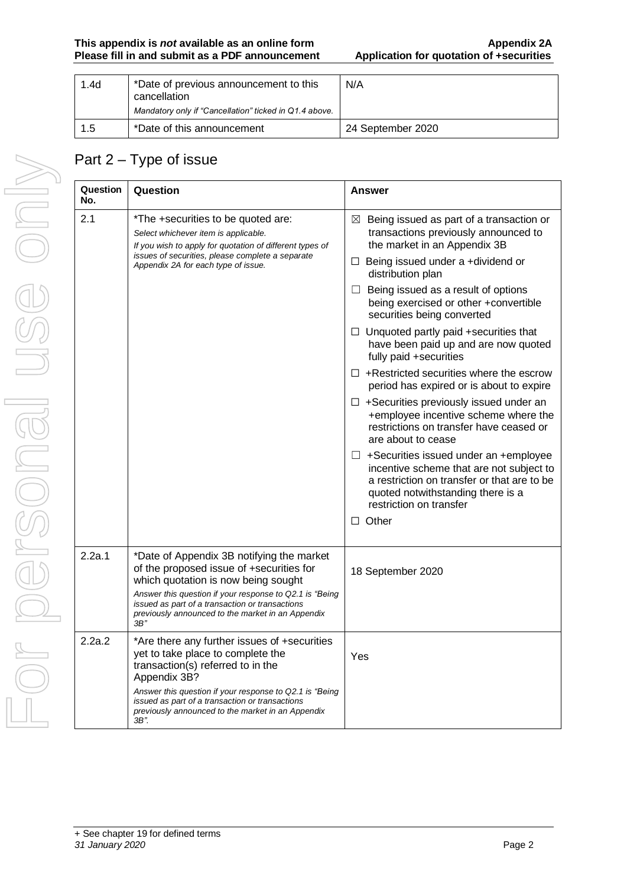| 1.4d | *Date of previous announcement to this<br>cancellation<br>Mandatory only if "Cancellation" ticked in Q1.4 above. | N/A               |
|------|------------------------------------------------------------------------------------------------------------------|-------------------|
| 1.5  | *Date of this announcement                                                                                       | 24 September 2020 |

# Part 2 – Type of issue

| Question<br>No. | Question                                                                                                                                                                                                                                                                                                | <b>Answer</b>                                                                                                                                                                                           |
|-----------------|---------------------------------------------------------------------------------------------------------------------------------------------------------------------------------------------------------------------------------------------------------------------------------------------------------|---------------------------------------------------------------------------------------------------------------------------------------------------------------------------------------------------------|
| 2.1             | *The +securities to be quoted are:<br>Select whichever item is applicable.<br>If you wish to apply for quotation of different types of                                                                                                                                                                  | Being issued as part of a transaction or<br>$\boxtimes$<br>transactions previously announced to<br>the market in an Appendix 3B                                                                         |
|                 | issues of securities, please complete a separate<br>Appendix 2A for each type of issue.                                                                                                                                                                                                                 | $\Box$ Being issued under a +dividend or<br>distribution plan                                                                                                                                           |
|                 |                                                                                                                                                                                                                                                                                                         | $\Box$ Being issued as a result of options<br>being exercised or other +convertible<br>securities being converted                                                                                       |
|                 |                                                                                                                                                                                                                                                                                                         | $\Box$ Unquoted partly paid +securities that<br>have been paid up and are now quoted<br>fully paid +securities                                                                                          |
|                 |                                                                                                                                                                                                                                                                                                         | $\Box$ +Restricted securities where the escrow<br>period has expired or is about to expire                                                                                                              |
|                 |                                                                                                                                                                                                                                                                                                         | $\Box$ +Securities previously issued under an<br>+employee incentive scheme where the<br>restrictions on transfer have ceased or<br>are about to cease                                                  |
|                 |                                                                                                                                                                                                                                                                                                         | $\Box$ +Securities issued under an +employee<br>incentive scheme that are not subject to<br>a restriction on transfer or that are to be<br>quoted notwithstanding there is a<br>restriction on transfer |
|                 |                                                                                                                                                                                                                                                                                                         | $\Box$ Other                                                                                                                                                                                            |
| 2.2a.1          | *Date of Appendix 3B notifying the market<br>of the proposed issue of +securities for<br>which quotation is now being sought<br>Answer this question if your response to Q2.1 is "Being<br>issued as part of a transaction or transactions<br>previously announced to the market in an Appendix<br>3B'' | 18 September 2020                                                                                                                                                                                       |
| 2.2a.2          | *Are there any further issues of +securities<br>yet to take place to complete the<br>transaction(s) referred to in the<br>Appendix 3B?                                                                                                                                                                  | Yes                                                                                                                                                                                                     |
|                 | Answer this question if your response to Q2.1 is "Being<br>issued as part of a transaction or transactions<br>previously announced to the market in an Appendix<br>3B".                                                                                                                                 |                                                                                                                                                                                                         |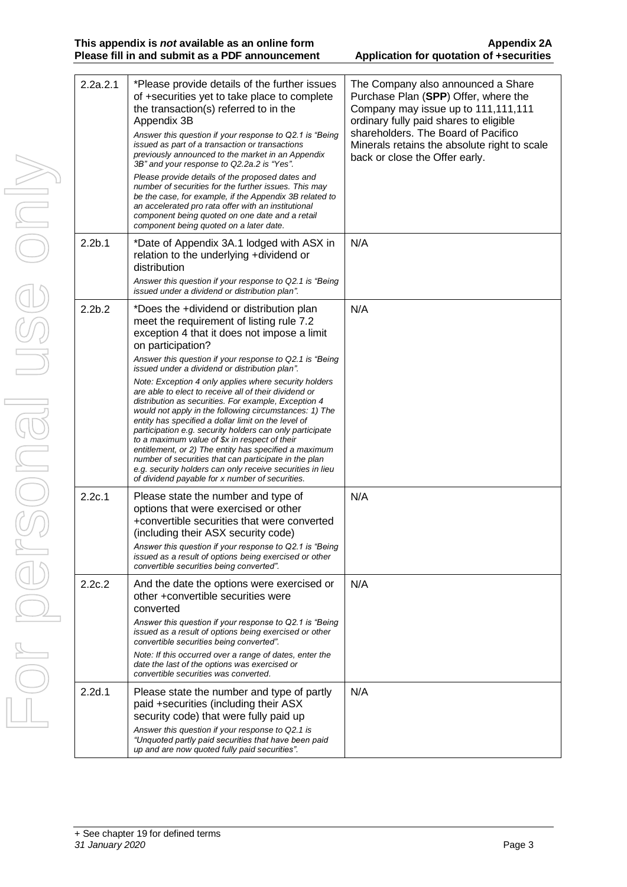| 2.2a.2.1           | *Please provide details of the further issues<br>of +securities yet to take place to complete<br>the transaction(s) referred to in the<br>Appendix 3B<br>Answer this question if your response to Q2.1 is "Being<br>issued as part of a transaction or transactions<br>previously announced to the market in an Appendix<br>3B" and your response to Q2.2a.2 is "Yes".<br>Please provide details of the proposed dates and<br>number of securities for the further issues. This may<br>be the case, for example, if the Appendix 3B related to<br>an accelerated pro rata offer with an institutional<br>component being quoted on one date and a retail<br>component being quoted on a later date.                                                                                                                                                                                                              | The Company also announced a Share<br>Purchase Plan (SPP) Offer, where the<br>Company may issue up to 111,111,111<br>ordinary fully paid shares to eligible<br>shareholders. The Board of Pacifico<br>Minerals retains the absolute right to scale<br>back or close the Offer early. |
|--------------------|------------------------------------------------------------------------------------------------------------------------------------------------------------------------------------------------------------------------------------------------------------------------------------------------------------------------------------------------------------------------------------------------------------------------------------------------------------------------------------------------------------------------------------------------------------------------------------------------------------------------------------------------------------------------------------------------------------------------------------------------------------------------------------------------------------------------------------------------------------------------------------------------------------------|--------------------------------------------------------------------------------------------------------------------------------------------------------------------------------------------------------------------------------------------------------------------------------------|
| 2.2 <sub>b.1</sub> | *Date of Appendix 3A.1 lodged with ASX in<br>relation to the underlying +dividend or<br>distribution<br>Answer this question if your response to Q2.1 is "Being<br>issued under a dividend or distribution plan".                                                                                                                                                                                                                                                                                                                                                                                                                                                                                                                                                                                                                                                                                                | N/A                                                                                                                                                                                                                                                                                  |
| 2.2 <sub>b.2</sub> | *Does the +dividend or distribution plan<br>meet the requirement of listing rule 7.2<br>exception 4 that it does not impose a limit<br>on participation?<br>Answer this question if your response to Q2.1 is "Being"<br>issued under a dividend or distribution plan".<br>Note: Exception 4 only applies where security holders<br>are able to elect to receive all of their dividend or<br>distribution as securities. For example, Exception 4<br>would not apply in the following circumstances: 1) The<br>entity has specified a dollar limit on the level of<br>participation e.g. security holders can only participate<br>to a maximum value of \$x in respect of their<br>entitlement, or 2) The entity has specified a maximum<br>number of securities that can participate in the plan<br>e.g. security holders can only receive securities in lieu<br>of dividend payable for x number of securities. | N/A                                                                                                                                                                                                                                                                                  |
| 2.2c.1             | Please state the number and type of<br>options that were exercised or other<br>+convertible securities that were converted<br>(including their ASX security code)<br>Answer this question if your response to Q2.1 is "Being<br>issued as a result of options being exercised or other<br>convertible securities being converted".                                                                                                                                                                                                                                                                                                                                                                                                                                                                                                                                                                               | N/A                                                                                                                                                                                                                                                                                  |
| 2.2c.2             | And the date the options were exercised or<br>other +convertible securities were<br>converted<br>Answer this question if your response to Q2.1 is "Being"<br>issued as a result of options being exercised or other<br>convertible securities being converted".<br>Note: If this occurred over a range of dates, enter the<br>date the last of the options was exercised or<br>convertible securities was converted.                                                                                                                                                                                                                                                                                                                                                                                                                                                                                             | N/A                                                                                                                                                                                                                                                                                  |
| 2.2d.1             | Please state the number and type of partly<br>paid +securities (including their ASX<br>security code) that were fully paid up<br>Answer this question if your response to Q2.1 is<br>"Unquoted partly paid securities that have been paid<br>up and are now quoted fully paid securities".                                                                                                                                                                                                                                                                                                                                                                                                                                                                                                                                                                                                                       | N/A                                                                                                                                                                                                                                                                                  |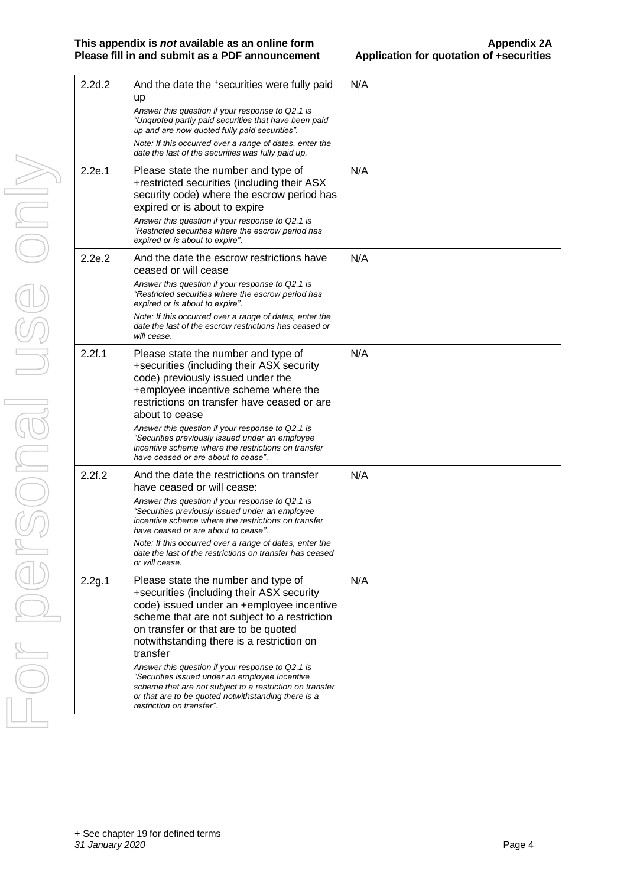#### **This appendix is** *not* **available as an online form Appendix 2A Please fill in and submit as a PDF announcement**

 $\vert$  2.2d.2  $\vert$  And the date the  $\vert$  securities were fully paid

N/A

|        | up<br>Answer this question if your response to Q2.1 is<br>"Unquoted partly paid securities that have been paid<br>up and are now quoted fully paid securities".<br>Note: If this occurred over a range of dates, enter the<br>date the last of the securities was fully paid up.                                                                                                             |     |
|--------|----------------------------------------------------------------------------------------------------------------------------------------------------------------------------------------------------------------------------------------------------------------------------------------------------------------------------------------------------------------------------------------------|-----|
| 2.2e.1 | Please state the number and type of<br>+restricted securities (including their ASX<br>security code) where the escrow period has<br>expired or is about to expire<br>Answer this question if your response to Q2.1 is                                                                                                                                                                        | N/A |
|        | "Restricted securities where the escrow period has<br>expired or is about to expire".                                                                                                                                                                                                                                                                                                        |     |
| 2.2e.2 | And the date the escrow restrictions have<br>ceased or will cease                                                                                                                                                                                                                                                                                                                            | N/A |
|        | Answer this question if your response to Q2.1 is<br>"Restricted securities where the escrow period has<br>expired or is about to expire".                                                                                                                                                                                                                                                    |     |
|        | Note: If this occurred over a range of dates, enter the<br>date the last of the escrow restrictions has ceased or<br>will cease.                                                                                                                                                                                                                                                             |     |
| 2.2f.1 | Please state the number and type of<br>+securities (including their ASX security<br>code) previously issued under the<br>+employee incentive scheme where the<br>restrictions on transfer have ceased or are<br>about to cease<br>Answer this question if your response to Q2.1 is<br>"Securities previously issued under an employee<br>incentive scheme where the restrictions on transfer | N/A |
| 2.2f.2 | have ceased or are about to cease".<br>And the date the restrictions on transfer                                                                                                                                                                                                                                                                                                             | N/A |
|        | have ceased or will cease:<br>Answer this question if your response to Q2.1 is<br>"Securities previously issued under an employee<br>incentive scheme where the restrictions on transfer<br>have ceased or are about to cease".<br>Note: If this occurred over a range of dates, enter the<br>date the last of the restrictions on transfer has ceased<br>or will cease.                     |     |
| 2.2g.1 | Please state the number and type of<br>+securities (including their ASX security<br>code) issued under an +employee incentive<br>scheme that are not subject to a restriction<br>on transfer or that are to be quoted<br>notwithstanding there is a restriction on<br>transfer<br>Answer this question if your response to Q2.1 is                                                           | N/A |
|        | "Securities issued under an employee incentive<br>scheme that are not subject to a restriction on transfer<br>or that are to be quoted notwithstanding there is a<br>restriction on transfer".                                                                                                                                                                                               |     |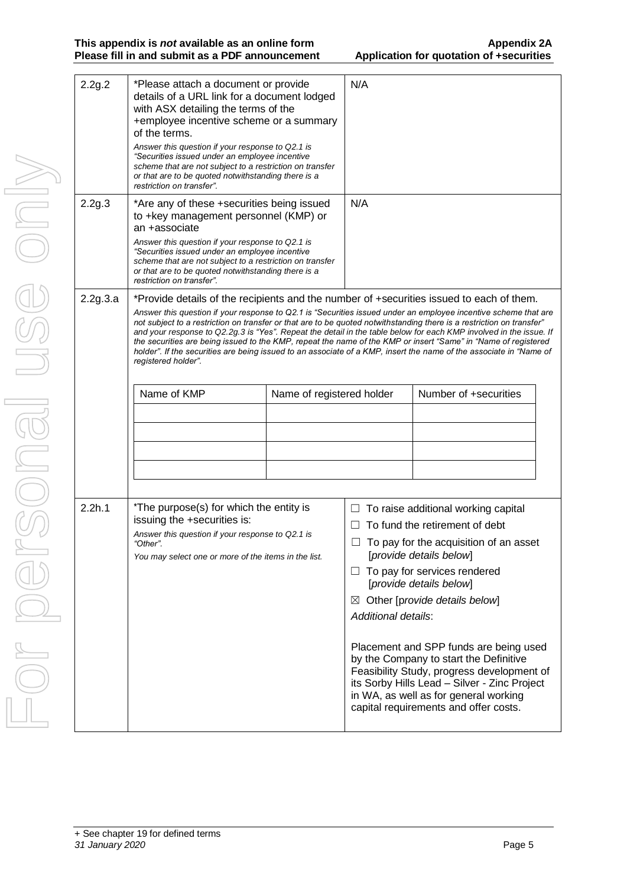| 2.2g.2   | *Please attach a document or provide<br>details of a URL link for a document lodged<br>with ASX detailing the terms of the<br>+employee incentive scheme or a summary<br>of the terms.<br>Answer this question if your response to Q2.1 is<br>"Securities issued under an employee incentive<br>scheme that are not subject to a restriction on transfer<br>or that are to be quoted notwithstanding there is a<br>restriction on transfer". |                                                                                                                                                                                                                                                                                                                                                                                                                                                                                                                                                                                                                                                                                                    | N/A                                |                                                                                                                                                                                                                                                                                                                                                                                                                                                                                                            |
|----------|----------------------------------------------------------------------------------------------------------------------------------------------------------------------------------------------------------------------------------------------------------------------------------------------------------------------------------------------------------------------------------------------------------------------------------------------|----------------------------------------------------------------------------------------------------------------------------------------------------------------------------------------------------------------------------------------------------------------------------------------------------------------------------------------------------------------------------------------------------------------------------------------------------------------------------------------------------------------------------------------------------------------------------------------------------------------------------------------------------------------------------------------------------|------------------------------------|------------------------------------------------------------------------------------------------------------------------------------------------------------------------------------------------------------------------------------------------------------------------------------------------------------------------------------------------------------------------------------------------------------------------------------------------------------------------------------------------------------|
| 2.2g.3   | *Are any of these +securities being issued<br>to +key management personnel (KMP) or<br>an +associate<br>Answer this question if your response to Q2.1 is<br>"Securities issued under an employee incentive<br>scheme that are not subject to a restriction on transfer<br>or that are to be quoted notwithstanding there is a<br>restriction on transfer".                                                                                   |                                                                                                                                                                                                                                                                                                                                                                                                                                                                                                                                                                                                                                                                                                    | N/A                                |                                                                                                                                                                                                                                                                                                                                                                                                                                                                                                            |
| 2.2g.3.a | registered holder".                                                                                                                                                                                                                                                                                                                                                                                                                          | *Provide details of the recipients and the number of +securities issued to each of them.<br>Answer this question if your response to Q2.1 is "Securities issued under an employee incentive scheme that are<br>not subject to a restriction on transfer or that are to be quoted notwithstanding there is a restriction on transfer"<br>and your response to Q2.2g.3 is "Yes". Repeat the detail in the table below for each KMP involved in the issue. If<br>the securities are being issued to the KMP, repeat the name of the KMP or insert "Same" in "Name of registered<br>holder". If the securities are being issued to an associate of a KMP, insert the name of the associate in "Name of |                                    |                                                                                                                                                                                                                                                                                                                                                                                                                                                                                                            |
|          | Name of KMP                                                                                                                                                                                                                                                                                                                                                                                                                                  | Name of registered holder                                                                                                                                                                                                                                                                                                                                                                                                                                                                                                                                                                                                                                                                          |                                    | Number of +securities                                                                                                                                                                                                                                                                                                                                                                                                                                                                                      |
| 2.2h.1   | *The purpose(s) for which the entity is<br>issuing the +securities is:<br>Answer this question if your response to Q2.1 is<br>"Other".<br>You may select one or more of the items in the list.                                                                                                                                                                                                                                               |                                                                                                                                                                                                                                                                                                                                                                                                                                                                                                                                                                                                                                                                                                    | $\Box$<br>⊠<br>Additional details: | To raise additional working capital<br>To fund the retirement of debt<br>To pay for the acquisition of an asset<br>[provide details below]<br>To pay for services rendered<br>[provide details below]<br>Other [provide details below]<br>Placement and SPP funds are being used<br>by the Company to start the Definitive<br>Feasibility Study, progress development of<br>its Sorby Hills Lead - Silver - Zinc Project<br>in WA, as well as for general working<br>capital requirements and offer costs. |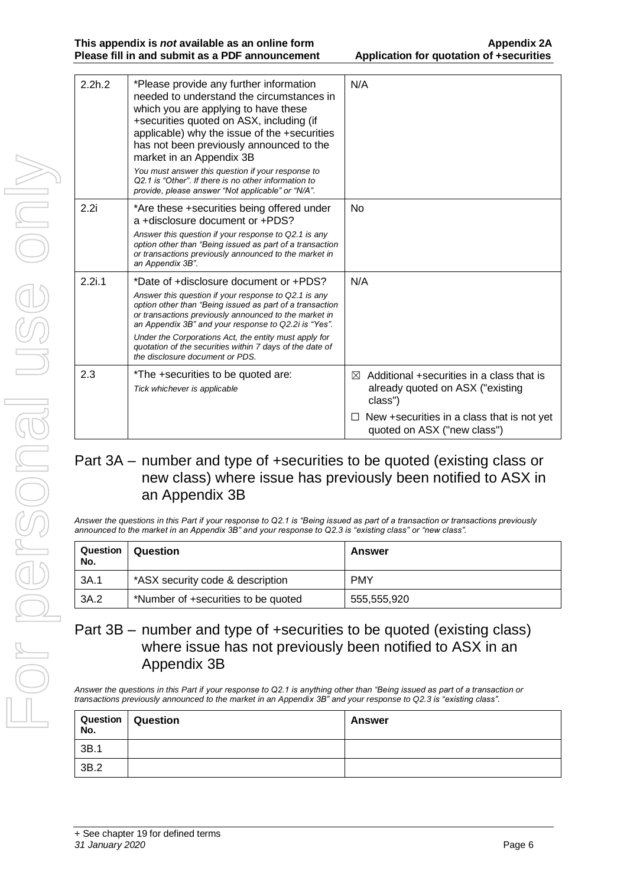| 2.2h.2 | *Please provide any further information<br>needed to understand the circumstances in<br>which you are applying to have these<br>+securities quoted on ASX, including (if<br>applicable) why the issue of the +securities<br>has not been previously announced to the<br>market in an Appendix 3B<br>You must answer this question if your response to<br>Q2.1 is "Other". If there is no other information to<br>provide, please answer "Not applicable" or "N/A". | N/A                                                                                                                                                                        |
|--------|--------------------------------------------------------------------------------------------------------------------------------------------------------------------------------------------------------------------------------------------------------------------------------------------------------------------------------------------------------------------------------------------------------------------------------------------------------------------|----------------------------------------------------------------------------------------------------------------------------------------------------------------------------|
| 2.2i   | *Are these +securities being offered under<br>a +disclosure document or +PDS?<br>Answer this question if your response to Q2.1 is any<br>option other than "Being issued as part of a transaction<br>or transactions previously announced to the market in<br>an Appendix 3B".                                                                                                                                                                                     | No                                                                                                                                                                         |
| 2.2i.1 | *Date of +disclosure document or +PDS?<br>Answer this question if your response to Q2.1 is any<br>option other than "Being issued as part of a transaction<br>or transactions previously announced to the market in<br>an Appendix 3B" and your response to Q2.2i is "Yes".<br>Under the Corporations Act, the entity must apply for<br>quotation of the securities within 7 days of the date of<br>the disclosure document or PDS.                                | N/A                                                                                                                                                                        |
| 2.3    | *The +securities to be quoted are:<br>Tick whichever is applicable                                                                                                                                                                                                                                                                                                                                                                                                 | Additional +securities in a class that is<br>⊠<br>already quoted on ASX ("existing<br>class")<br>New +securities in a class that is not yet<br>quoted on ASX ("new class") |

### Part 3A – number and type of +securities to be quoted (existing class or new class) where issue has previously been notified to ASX in an Appendix 3B

*Answer the questions in this Part if your response to Q2.1 is "Being issued as part of a transaction or transactions previously announced to the market in an Appendix 3B" and your response to Q2.3 is "existing class" or "new class".*

| Question<br>No. | Question                            | Answer      |
|-----------------|-------------------------------------|-------------|
| 3A.1            | *ASX security code & description    | <b>PMY</b>  |
| 3A.2            | *Number of +securities to be quoted | 555,555,920 |

### Part 3B – number and type of +securities to be quoted (existing class) where issue has not previously been notified to ASX in an Appendix 3B

*Answer the questions in this Part if your response to Q2.1 is anything other than "Being issued as part of a transaction or transactions previously announced to the market in an Appendix 3B" and your response to Q2.3 is "existing class".*

| No.  | Question   Question | Answer |
|------|---------------------|--------|
| 3B.1 |                     |        |
| 3B.2 |                     |        |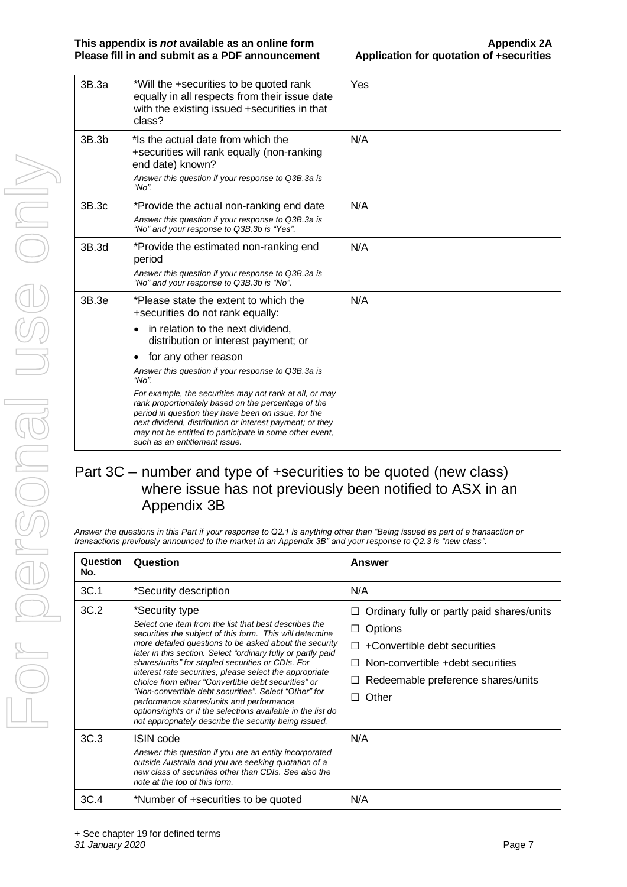| 3B.3a | *Will the +securities to be quoted rank<br>equally in all respects from their issue date<br>with the existing issued +securities in that<br>class?                                                                                                                                                                                                                                                                                                                                                                                                                                                           | Yes |
|-------|--------------------------------------------------------------------------------------------------------------------------------------------------------------------------------------------------------------------------------------------------------------------------------------------------------------------------------------------------------------------------------------------------------------------------------------------------------------------------------------------------------------------------------------------------------------------------------------------------------------|-----|
| 3B.3b | *Is the actual date from which the<br>+securities will rank equally (non-ranking<br>end date) known?<br>Answer this question if your response to Q3B.3a is<br>" $No$ ".                                                                                                                                                                                                                                                                                                                                                                                                                                      | N/A |
| 3B.3c | *Provide the actual non-ranking end date<br>Answer this question if your response to Q3B.3a is<br>"No" and your response to Q3B.3b is "Yes".                                                                                                                                                                                                                                                                                                                                                                                                                                                                 | N/A |
| 3B.3d | *Provide the estimated non-ranking end<br>period<br>Answer this question if your response to Q3B.3a is<br>"No" and your response to Q3B.3b is "No".                                                                                                                                                                                                                                                                                                                                                                                                                                                          | N/A |
| 3B.3e | *Please state the extent to which the<br>+securities do not rank equally:<br>in relation to the next dividend,<br>$\bullet$<br>distribution or interest payment; or<br>for any other reason<br>$\bullet$<br>Answer this question if your response to Q3B.3a is<br>" $No$ ".<br>For example, the securities may not rank at all, or may<br>rank proportionately based on the percentage of the<br>period in question they have been on issue, for the<br>next dividend, distribution or interest payment; or they<br>may not be entitled to participate in some other event,<br>such as an entitlement issue. | N/A |

### Part 3C – number and type of +securities to be quoted (new class) where issue has not previously been notified to ASX in an Appendix 3B

*Answer the questions in this Part if your response to Q2.1 is anything other than "Being issued as part of a transaction or transactions previously announced to the market in an Appendix 3B" and your response to Q2.3 is "new class".*

| Question<br>No. | Question                                                                                                                                                                                                                                                                                                                                                                                                                                                                                                                                                                                                                                                           | Answer                                                                                                                                                                                              |
|-----------------|--------------------------------------------------------------------------------------------------------------------------------------------------------------------------------------------------------------------------------------------------------------------------------------------------------------------------------------------------------------------------------------------------------------------------------------------------------------------------------------------------------------------------------------------------------------------------------------------------------------------------------------------------------------------|-----------------------------------------------------------------------------------------------------------------------------------------------------------------------------------------------------|
| 3C.1            | *Security description                                                                                                                                                                                                                                                                                                                                                                                                                                                                                                                                                                                                                                              | N/A                                                                                                                                                                                                 |
| 3C.2            | *Security type<br>Select one item from the list that best describes the<br>securities the subject of this form. This will determine<br>more detailed questions to be asked about the security<br>later in this section. Select "ordinary fully or partly paid<br>shares/units" for stapled securities or CDIs. For<br>interest rate securities, please select the appropriate<br>choice from either "Convertible debt securities" or<br>"Non-convertible debt securities". Select "Other" for<br>performance shares/units and performance<br>options/rights or if the selections available in the list do<br>not appropriately describe the security being issued. | Ordinary fully or partly paid shares/units<br>Ш<br>Options<br>+Convertible debt securities<br>П<br>Non-convertible +debt securities<br>$\perp$<br>Redeemable preference shares/units<br>Other<br>ΙI |
| 3C.3            | ISIN code<br>Answer this question if you are an entity incorporated<br>outside Australia and you are seeking quotation of a<br>new class of securities other than CDIs. See also the<br>note at the top of this form.                                                                                                                                                                                                                                                                                                                                                                                                                                              | N/A                                                                                                                                                                                                 |
| 3C.4            | *Number of +securities to be quoted                                                                                                                                                                                                                                                                                                                                                                                                                                                                                                                                                                                                                                | N/A                                                                                                                                                                                                 |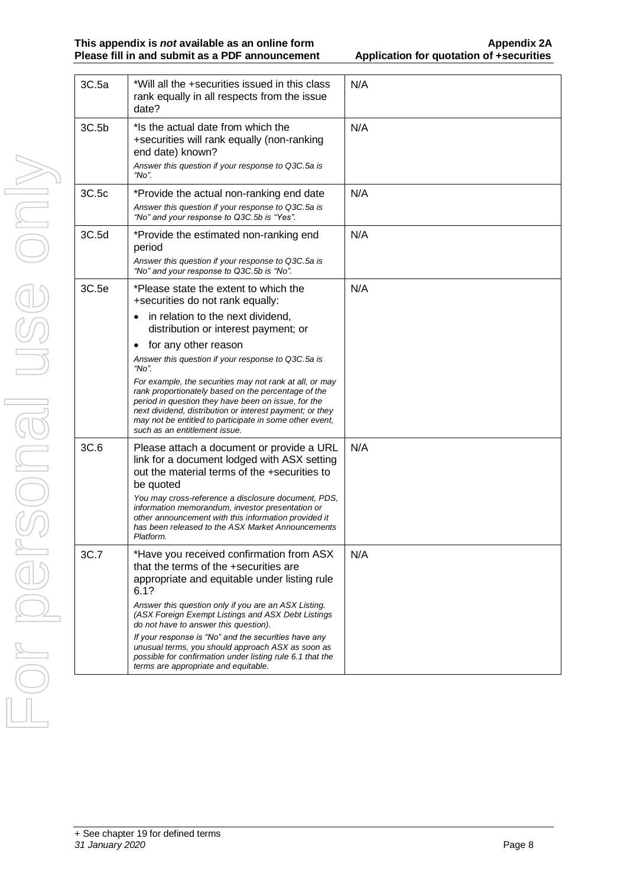| 3C.5a | *Will all the +securities issued in this class<br>rank equally in all respects from the issue<br>date?                                                                                                                                                                                                                                                                                                                                                                                                                                                                                      | N/A |
|-------|---------------------------------------------------------------------------------------------------------------------------------------------------------------------------------------------------------------------------------------------------------------------------------------------------------------------------------------------------------------------------------------------------------------------------------------------------------------------------------------------------------------------------------------------------------------------------------------------|-----|
| 3C.5b | *Is the actual date from which the<br>+securities will rank equally (non-ranking<br>end date) known?<br>Answer this question if your response to Q3C.5a is<br>"No".                                                                                                                                                                                                                                                                                                                                                                                                                         | N/A |
| 3C.5c | *Provide the actual non-ranking end date<br>Answer this question if your response to Q3C.5a is<br>"No" and your response to Q3C.5b is "Yes".                                                                                                                                                                                                                                                                                                                                                                                                                                                | N/A |
| 3C.5d | *Provide the estimated non-ranking end<br>period<br>Answer this question if your response to Q3C.5a is<br>"No" and your response to Q3C.5b is "No".                                                                                                                                                                                                                                                                                                                                                                                                                                         | N/A |
| 3C.5e | *Please state the extent to which the<br>+securities do not rank equally:<br>in relation to the next dividend,<br>distribution or interest payment; or<br>for any other reason<br>$\bullet$<br>Answer this question if your response to Q3C.5a is<br>"No".<br>For example, the securities may not rank at all, or may<br>rank proportionately based on the percentage of the<br>period in question they have been on issue, for the<br>next dividend, distribution or interest payment; or they<br>may not be entitled to participate in some other event,<br>such as an entitlement issue. | N/A |
| 3C.6  | Please attach a document or provide a URL<br>link for a document lodged with ASX setting<br>out the material terms of the +securities to<br>be quoted<br>You may cross-reference a disclosure document, PDS,<br>information memorandum, investor presentation or<br>other announcement with this information provided it<br>has been released to the ASX Market Announcements<br>Platform.                                                                                                                                                                                                  | N/A |
| 3C.7  | *Have you received confirmation from ASX<br>that the terms of the +securities are<br>appropriate and equitable under listing rule<br>6.1?<br>Answer this question only if you are an ASX Listing.<br>(ASX Foreign Exempt Listings and ASX Debt Listings<br>do not have to answer this question).<br>If your response is "No" and the securities have any<br>unusual terms, you should approach ASX as soon as<br>possible for confirmation under listing rule 6.1 that the<br>terms are appropriate and equitable.                                                                          | N/A |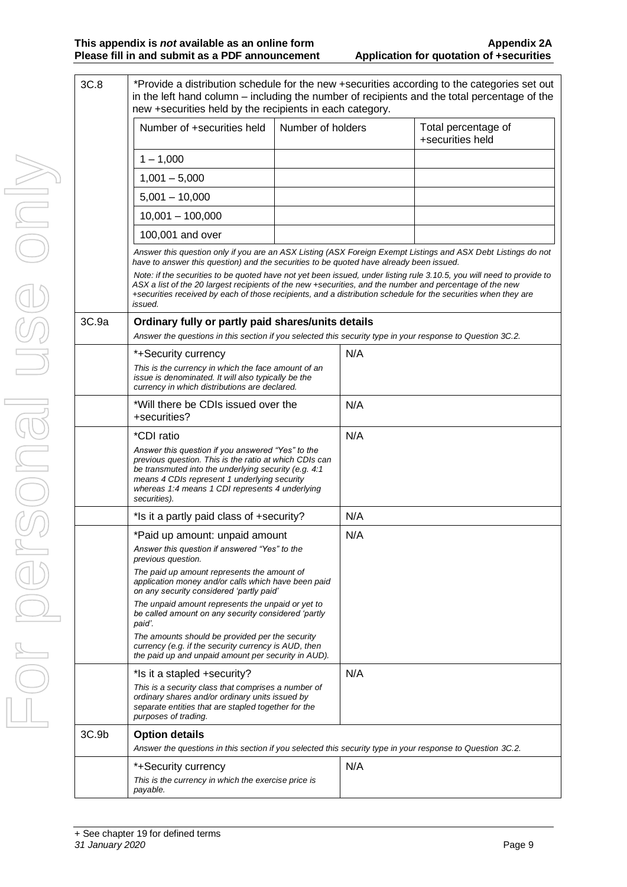| 3C.8  | *Provide a distribution schedule for the new +securities according to the categories set out<br>in the left hand column – including the number of recipients and the total percentage of the<br>new +securities held by the recipients in each category.                                                                                                                                                                                                                                                                                                                   |                   |     |                                         |
|-------|----------------------------------------------------------------------------------------------------------------------------------------------------------------------------------------------------------------------------------------------------------------------------------------------------------------------------------------------------------------------------------------------------------------------------------------------------------------------------------------------------------------------------------------------------------------------------|-------------------|-----|-----------------------------------------|
|       | Number of +securities held                                                                                                                                                                                                                                                                                                                                                                                                                                                                                                                                                 | Number of holders |     | Total percentage of<br>+securities held |
|       | $1 - 1,000$                                                                                                                                                                                                                                                                                                                                                                                                                                                                                                                                                                |                   |     |                                         |
|       | $1,001 - 5,000$                                                                                                                                                                                                                                                                                                                                                                                                                                                                                                                                                            |                   |     |                                         |
|       | $5,001 - 10,000$                                                                                                                                                                                                                                                                                                                                                                                                                                                                                                                                                           |                   |     |                                         |
|       | $10,001 - 100,000$                                                                                                                                                                                                                                                                                                                                                                                                                                                                                                                                                         |                   |     |                                         |
|       | 100,001 and over                                                                                                                                                                                                                                                                                                                                                                                                                                                                                                                                                           |                   |     |                                         |
|       | Answer this question only if you are an ASX Listing (ASX Foreign Exempt Listings and ASX Debt Listings do not<br>have to answer this question) and the securities to be quoted have already been issued.<br>Note: if the securities to be quoted have not yet been issued, under listing rule 3.10.5, you will need to provide to<br>ASX a list of the 20 largest recipients of the new +securities, and the number and percentage of the new<br>+securities received by each of those recipients, and a distribution schedule for the securities when they are<br>issued. |                   |     |                                         |
| 3C.9a | Ordinary fully or partly paid shares/units details<br>Answer the questions in this section if you selected this security type in your response to Question 3C.2.                                                                                                                                                                                                                                                                                                                                                                                                           |                   |     |                                         |
|       | *+Security currency                                                                                                                                                                                                                                                                                                                                                                                                                                                                                                                                                        |                   | N/A |                                         |
|       | This is the currency in which the face amount of an<br>issue is denominated. It will also typically be the<br>currency in which distributions are declared.                                                                                                                                                                                                                                                                                                                                                                                                                |                   |     |                                         |
|       | *Will there be CDIs issued over the<br>+securities?                                                                                                                                                                                                                                                                                                                                                                                                                                                                                                                        |                   | N/A |                                         |
|       | *CDI ratio                                                                                                                                                                                                                                                                                                                                                                                                                                                                                                                                                                 |                   | N/A |                                         |
|       | Answer this question if you answered "Yes" to the<br>previous question. This is the ratio at which CDIs can<br>be transmuted into the underlying security (e.g. 4:1<br>means 4 CDIs represent 1 underlying security<br>whereas 1:4 means 1 CDI represents 4 underlying<br>securities).                                                                                                                                                                                                                                                                                     |                   |     |                                         |
|       | *Is it a partly paid class of +security?                                                                                                                                                                                                                                                                                                                                                                                                                                                                                                                                   |                   | N/A |                                         |
|       | *Paid up amount: unpaid amount                                                                                                                                                                                                                                                                                                                                                                                                                                                                                                                                             |                   | N/A |                                         |
|       | Answer this question if answered "Yes" to the<br>previous question.                                                                                                                                                                                                                                                                                                                                                                                                                                                                                                        |                   |     |                                         |
|       | The paid up amount represents the amount of<br>application money and/or calls which have been paid<br>on any security considered 'partly paid'                                                                                                                                                                                                                                                                                                                                                                                                                             |                   |     |                                         |
|       | The unpaid amount represents the unpaid or yet to<br>be called amount on any security considered 'partly<br>paid'.                                                                                                                                                                                                                                                                                                                                                                                                                                                         |                   |     |                                         |
|       | The amounts should be provided per the security<br>currency (e.g. if the security currency is AUD, then<br>the paid up and unpaid amount per security in AUD).                                                                                                                                                                                                                                                                                                                                                                                                             |                   |     |                                         |
|       | *Is it a stapled +security?                                                                                                                                                                                                                                                                                                                                                                                                                                                                                                                                                |                   | N/A |                                         |
|       | This is a security class that comprises a number of<br>ordinary shares and/or ordinary units issued by<br>separate entities that are stapled together for the<br>purposes of trading.                                                                                                                                                                                                                                                                                                                                                                                      |                   |     |                                         |
| 3C.9b | <b>Option details</b>                                                                                                                                                                                                                                                                                                                                                                                                                                                                                                                                                      |                   |     |                                         |
|       | Answer the questions in this section if you selected this security type in your response to Question 3C.2.                                                                                                                                                                                                                                                                                                                                                                                                                                                                 |                   |     |                                         |
|       | *+Security currency                                                                                                                                                                                                                                                                                                                                                                                                                                                                                                                                                        |                   | N/A |                                         |
|       | This is the currency in which the exercise price is<br>payable.                                                                                                                                                                                                                                                                                                                                                                                                                                                                                                            |                   |     |                                         |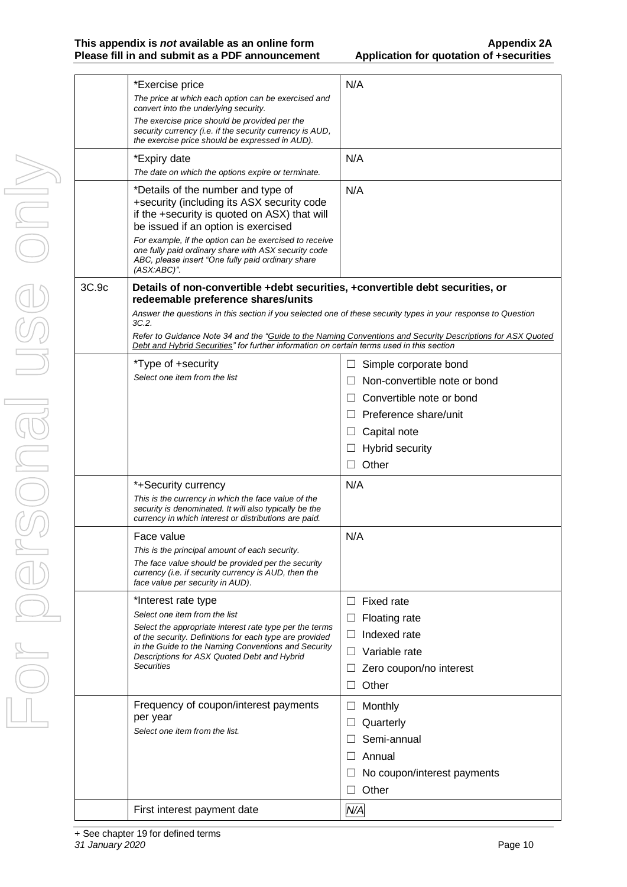|       | *Exercise price<br>The price at which each option can be exercised and<br>convert into the underlying security.<br>The exercise price should be provided per the<br>security currency (i.e. if the security currency is AUD,<br>the exercise price should be expressed in AUD).                                                                               | N/A                                                                                                         |
|-------|---------------------------------------------------------------------------------------------------------------------------------------------------------------------------------------------------------------------------------------------------------------------------------------------------------------------------------------------------------------|-------------------------------------------------------------------------------------------------------------|
|       | *Expiry date<br>The date on which the options expire or terminate.                                                                                                                                                                                                                                                                                            | N/A                                                                                                         |
|       | *Details of the number and type of<br>+security (including its ASX security code<br>if the +security is quoted on ASX) that will<br>be issued if an option is exercised<br>For example, if the option can be exercised to receive<br>one fully paid ordinary share with ASX security code<br>ABC, please insert "One fully paid ordinary share<br>(ASX:ABC)". | N/A                                                                                                         |
| 3C.9c | Details of non-convertible +debt securities, +convertible debt securities, or<br>redeemable preference shares/units<br>Answer the questions in this section if you selected one of these security types in your response to Question<br>3C.2.<br>Debt and Hybrid Securities" for further information on certain terms used in this section                    | Refer to Guidance Note 34 and the "Guide to the Naming Conventions and Security Descriptions for ASX Quoted |
|       | *Type of +security                                                                                                                                                                                                                                                                                                                                            | Simple corporate bond<br>$\Box$                                                                             |
|       | Select one item from the list                                                                                                                                                                                                                                                                                                                                 | Non-convertible note or bond                                                                                |
|       |                                                                                                                                                                                                                                                                                                                                                               | Convertible note or bond                                                                                    |
|       |                                                                                                                                                                                                                                                                                                                                                               | Preference share/unit                                                                                       |
|       |                                                                                                                                                                                                                                                                                                                                                               | Capital note<br>⊔                                                                                           |
|       |                                                                                                                                                                                                                                                                                                                                                               | <b>Hybrid security</b>                                                                                      |
|       |                                                                                                                                                                                                                                                                                                                                                               | Other                                                                                                       |
|       |                                                                                                                                                                                                                                                                                                                                                               |                                                                                                             |
|       | *+Security currency<br>This is the currency in which the face value of the<br>security is denominated. It will also typically be the<br>currency in which interest or distributions are paid.                                                                                                                                                                 | N/A                                                                                                         |
|       | Face value                                                                                                                                                                                                                                                                                                                                                    | N/A                                                                                                         |
|       | This is the principal amount of each security.                                                                                                                                                                                                                                                                                                                |                                                                                                             |
|       | The face value should be provided per the security<br>currency (i.e. if security currency is AUD, then the<br>face value per security in AUD).                                                                                                                                                                                                                |                                                                                                             |
|       | *Interest rate type                                                                                                                                                                                                                                                                                                                                           | Fixed rate<br>ш                                                                                             |
|       | Select one item from the list                                                                                                                                                                                                                                                                                                                                 | Floating rate<br>$\Box$                                                                                     |
|       | Select the appropriate interest rate type per the terms<br>of the security. Definitions for each type are provided                                                                                                                                                                                                                                            | Indexed rate<br>⊔                                                                                           |
|       | in the Guide to the Naming Conventions and Security                                                                                                                                                                                                                                                                                                           | Variable rate                                                                                               |
|       | Descriptions for ASX Quoted Debt and Hybrid<br>Securities                                                                                                                                                                                                                                                                                                     | Zero coupon/no interest                                                                                     |
|       |                                                                                                                                                                                                                                                                                                                                                               | Other                                                                                                       |
|       | Frequency of coupon/interest payments                                                                                                                                                                                                                                                                                                                         | Monthly<br>⊔                                                                                                |
|       | per year                                                                                                                                                                                                                                                                                                                                                      |                                                                                                             |
|       | Select one item from the list.                                                                                                                                                                                                                                                                                                                                | Quarterly                                                                                                   |
|       |                                                                                                                                                                                                                                                                                                                                                               | Semi-annual                                                                                                 |
|       |                                                                                                                                                                                                                                                                                                                                                               | Annual                                                                                                      |
|       |                                                                                                                                                                                                                                                                                                                                                               | No coupon/interest payments                                                                                 |
|       |                                                                                                                                                                                                                                                                                                                                                               | Other                                                                                                       |
|       | First interest payment date                                                                                                                                                                                                                                                                                                                                   | N/A                                                                                                         |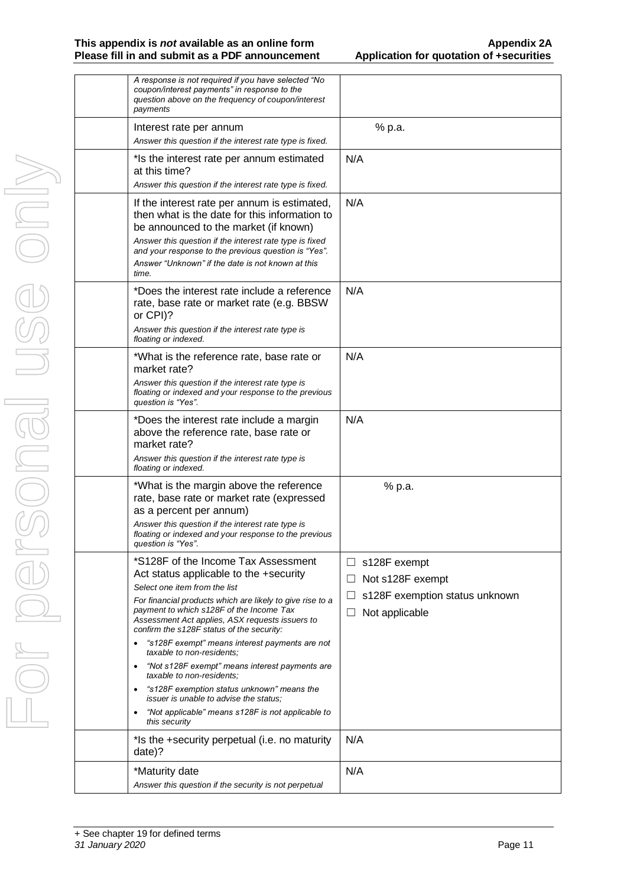| A response is not required if you have selected "No<br>coupon/interest payments" in response to the<br>question above on the frequency of coupon/interest<br>payments                                                                                                                                                                                                                                                                                                                                                                                                                                                                                        |                                                                                                          |
|--------------------------------------------------------------------------------------------------------------------------------------------------------------------------------------------------------------------------------------------------------------------------------------------------------------------------------------------------------------------------------------------------------------------------------------------------------------------------------------------------------------------------------------------------------------------------------------------------------------------------------------------------------------|----------------------------------------------------------------------------------------------------------|
| Interest rate per annum<br>Answer this question if the interest rate type is fixed.                                                                                                                                                                                                                                                                                                                                                                                                                                                                                                                                                                          | % p.a.                                                                                                   |
| * Is the interest rate per annum estimated<br>at this time?<br>Answer this question if the interest rate type is fixed.                                                                                                                                                                                                                                                                                                                                                                                                                                                                                                                                      | N/A                                                                                                      |
| If the interest rate per annum is estimated,<br>then what is the date for this information to<br>be announced to the market (if known)<br>Answer this question if the interest rate type is fixed<br>and your response to the previous question is "Yes".<br>Answer "Unknown" if the date is not known at this<br>time.                                                                                                                                                                                                                                                                                                                                      | N/A                                                                                                      |
| *Does the interest rate include a reference<br>rate, base rate or market rate (e.g. BBSW<br>or CPI)?<br>Answer this question if the interest rate type is<br>floating or indexed.                                                                                                                                                                                                                                                                                                                                                                                                                                                                            | N/A                                                                                                      |
| *What is the reference rate, base rate or<br>market rate?<br>Answer this question if the interest rate type is<br>floating or indexed and your response to the previous<br>question is "Yes".                                                                                                                                                                                                                                                                                                                                                                                                                                                                | N/A                                                                                                      |
| *Does the interest rate include a margin<br>above the reference rate, base rate or<br>market rate?<br>Answer this question if the interest rate type is<br>floating or indexed.                                                                                                                                                                                                                                                                                                                                                                                                                                                                              | N/A                                                                                                      |
| *What is the margin above the reference<br>rate, base rate or market rate (expressed<br>as a percent per annum)<br>Answer this question if the interest rate type is<br>floating or indexed and your response to the previous<br>question is "Yes".                                                                                                                                                                                                                                                                                                                                                                                                          | % p.a.                                                                                                   |
| *S128F of the Income Tax Assessment<br>Act status applicable to the +security<br>Select one item from the list<br>For financial products which are likely to give rise to a<br>payment to which s128F of the Income Tax<br>Assessment Act applies, ASX requests issuers to<br>confirm the s128F status of the security:<br>"s128F exempt" means interest payments are not<br>taxable to non-residents;<br>"Not s128F exempt" means interest payments are<br>$\bullet$<br>taxable to non-residents;<br>"s128F exemption status unknown" means the<br>$\bullet$<br>issuer is unable to advise the status;<br>"Not applicable" means s128F is not applicable to | s128F exempt<br>ப<br>Not s128F exempt<br>$\Box$<br>s128F exemption status unknown<br>Not applicable<br>L |
| this security<br>*Is the +security perpetual (i.e. no maturity                                                                                                                                                                                                                                                                                                                                                                                                                                                                                                                                                                                               | N/A                                                                                                      |
| date)?                                                                                                                                                                                                                                                                                                                                                                                                                                                                                                                                                                                                                                                       |                                                                                                          |
| *Maturity date<br>Answer this question if the security is not perpetual                                                                                                                                                                                                                                                                                                                                                                                                                                                                                                                                                                                      | N/A                                                                                                      |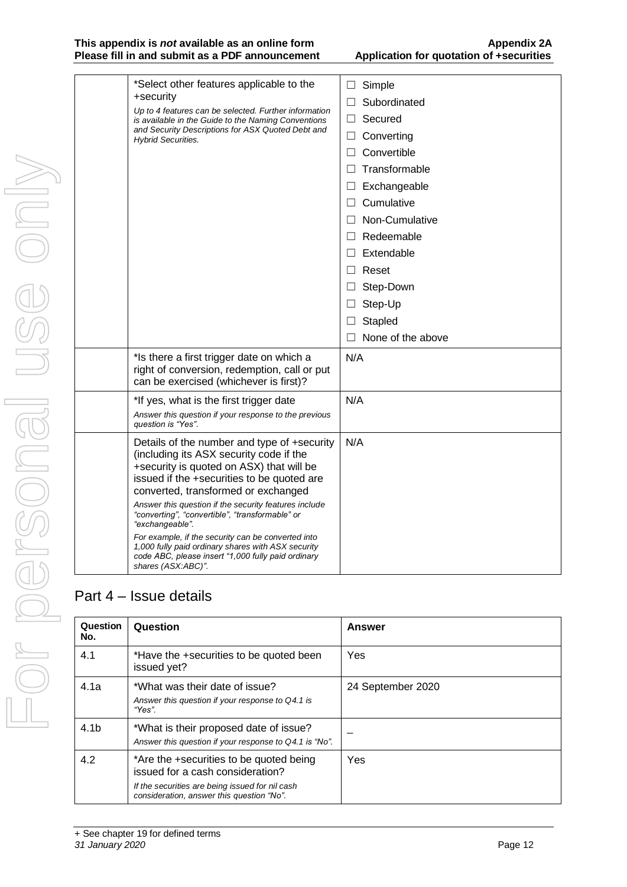#### **This appendix is** *not* **available as an online form Appendix 2A Please fill in and submit as a PDF announcement**

| *Select other features applicable to the<br>+security<br>Up to 4 features can be selected. Further information<br>is available in the Guide to the Naming Conventions<br>and Security Descriptions for ASX Quoted Debt and<br><b>Hybrid Securities.</b>                                                                                                                                                                                                                                                                                        | Simple<br>$\Box$<br>Subordinated<br>Secured<br>$\Box$<br>Converting<br>Ш<br>Convertible<br>П<br>Transformable<br>П<br>Exchangeable<br>$\Box$<br>Cumulative<br>П<br>Non-Cumulative<br>П<br>Redeemable<br>$\Box$<br>Extendable<br>$\Box$<br>Reset<br>$\Box$<br>Step-Down<br>$\Box$<br>Step-Up<br>$\Box$ |
|------------------------------------------------------------------------------------------------------------------------------------------------------------------------------------------------------------------------------------------------------------------------------------------------------------------------------------------------------------------------------------------------------------------------------------------------------------------------------------------------------------------------------------------------|-------------------------------------------------------------------------------------------------------------------------------------------------------------------------------------------------------------------------------------------------------------------------------------------------------|
|                                                                                                                                                                                                                                                                                                                                                                                                                                                                                                                                                | Stapled<br>None of the above                                                                                                                                                                                                                                                                          |
| *Is there a first trigger date on which a<br>right of conversion, redemption, call or put<br>can be exercised (whichever is first)?                                                                                                                                                                                                                                                                                                                                                                                                            | N/A                                                                                                                                                                                                                                                                                                   |
| *If yes, what is the first trigger date<br>Answer this question if your response to the previous<br>question is "Yes".                                                                                                                                                                                                                                                                                                                                                                                                                         | N/A                                                                                                                                                                                                                                                                                                   |
| Details of the number and type of +security<br>(including its ASX security code if the<br>+security is quoted on ASX) that will be<br>issued if the +securities to be quoted are<br>converted, transformed or exchanged<br>Answer this question if the security features include<br>"converting", "convertible", "transformable" or<br>"exchangeable".<br>For example, if the security can be converted into<br>1,000 fully paid ordinary shares with ASX security<br>code ABC, please insert "1,000 fully paid ordinary<br>shares (ASX:ABC)". | N/A                                                                                                                                                                                                                                                                                                   |

# Part 4 – Issue details

| Question<br>No.  | Question                                                                                                                                                                    | <b>Answer</b>     |
|------------------|-----------------------------------------------------------------------------------------------------------------------------------------------------------------------------|-------------------|
| 4.1              | *Have the +securities to be quoted been<br>issued yet?                                                                                                                      | Yes               |
| 4.1a             | *What was their date of issue?<br>Answer this question if your response to Q4.1 is<br>"Yes"                                                                                 | 24 September 2020 |
| 4.1 <sub>b</sub> | *What is their proposed date of issue?<br>Answer this question if your response to Q4.1 is "No".                                                                            |                   |
| 4.2              | *Are the +securities to be quoted being<br>issued for a cash consideration?<br>If the securities are being issued for nil cash<br>consideration, answer this question "No". | Yes               |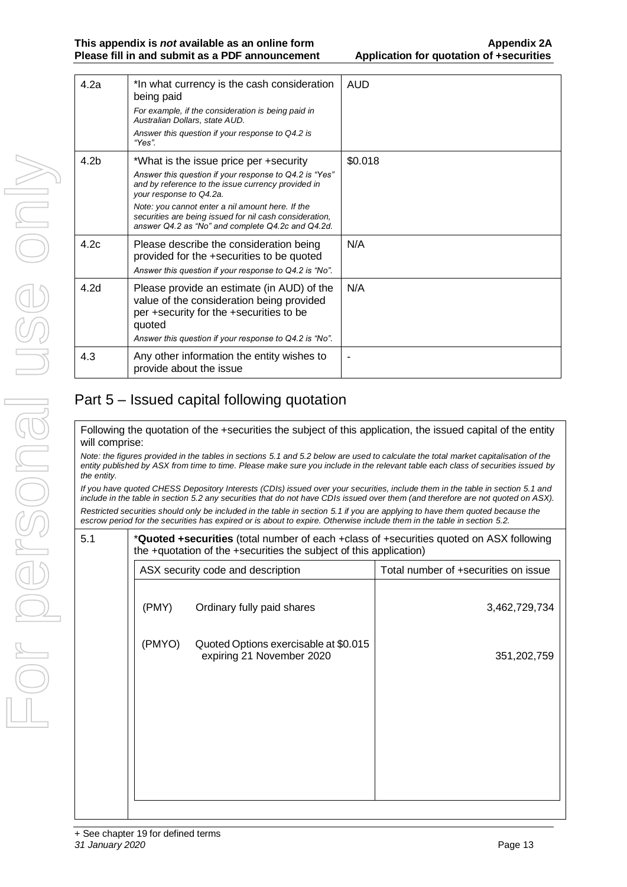| 4.2a             | *In what currency is the cash consideration<br>being paid                                                                                                        | <b>AUD</b> |
|------------------|------------------------------------------------------------------------------------------------------------------------------------------------------------------|------------|
|                  | For example, if the consideration is being paid in<br>Australian Dollars, state AUD.                                                                             |            |
|                  | Answer this question if your response to Q4.2 is<br>"Yes".                                                                                                       |            |
| 4.2 <sub>b</sub> | *What is the issue price per +security                                                                                                                           | \$0.018    |
|                  | Answer this question if your response to Q4.2 is "Yes"<br>and by reference to the issue currency provided in<br>your response to Q4.2a.                          |            |
|                  | Note: you cannot enter a nil amount here. If the<br>securities are being issued for nil cash consideration,<br>answer Q4.2 as "No" and complete Q4.2c and Q4.2d. |            |
| 4.2c             | Please describe the consideration being<br>provided for the +securities to be quoted<br>Answer this question if your response to Q4.2 is "No".                   | N/A        |
| 4.2 <sub>d</sub> | Please provide an estimate (in AUD) of the<br>value of the consideration being provided<br>per +security for the +securities to be<br>quoted                     | N/A        |
|                  | Answer this question if your response to Q4.2 is "No".                                                                                                           |            |
| 4.3              | Any other information the entity wishes to<br>provide about the issue                                                                                            |            |

# Part 5 – Issued capital following quotation

Following the quotation of the +securities the subject of this application, the issued capital of the entity will comprise:

*Note: the figures provided in the tables in sections 5.1 and 5.2 below are used to calculate the total market capitalisation of the entity published by ASX from time to time. Please make sure you include in the relevant table each class of securities issued by the entity.*

*If you have quoted CHESS Depository Interests (CDIs) issued over your securities, include them in the table in section 5.1 and include in the table in section 5.2 any securities that do not have CDIs issued over them (and therefore are not quoted on ASX). Restricted securities should only be included in the table in section 5.1 if you are applying to have them quoted because the escrow period for the securities has expired or is about to expire. Otherwise include them in the table in section 5.2.*

5.1 \***Quoted +securities** (total number of each +class of +securities quoted on ASX following the +quotation of the +securities the subject of this application)

| ASX security code and description |                                                                    | Total number of +securities on issue |
|-----------------------------------|--------------------------------------------------------------------|--------------------------------------|
| (PMY)                             | Ordinary fully paid shares                                         | 3,462,729,734                        |
| (PMYO)                            | Quoted Options exercisable at \$0.015<br>expiring 21 November 2020 | 351,202,759                          |
|                                   |                                                                    |                                      |
|                                   |                                                                    |                                      |
|                                   |                                                                    |                                      |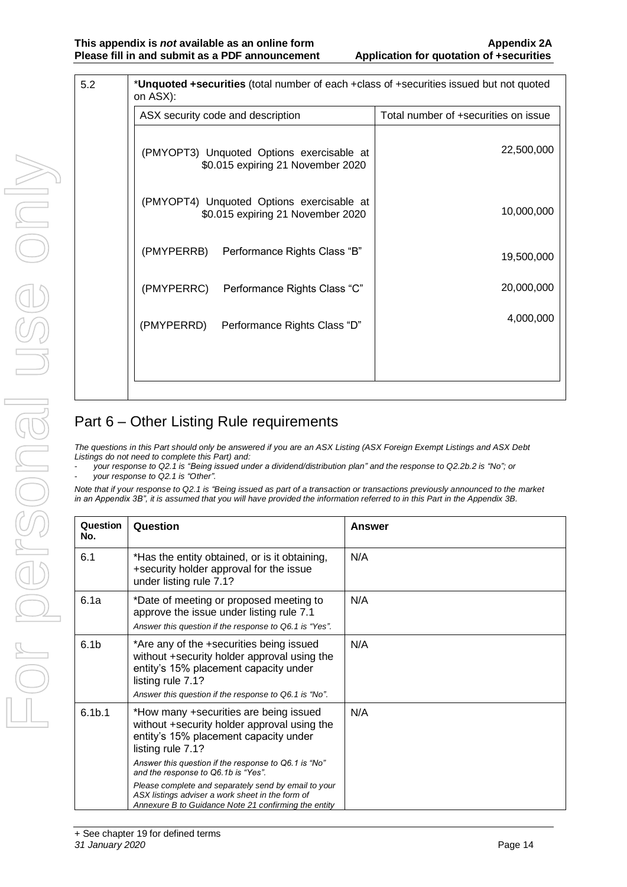| 5.2 | *Unquoted +securities (total number of each +class of +securities issued but not quoted<br>on ASX): |                                      |
|-----|-----------------------------------------------------------------------------------------------------|--------------------------------------|
|     | ASX security code and description                                                                   | Total number of +securities on issue |
|     | (PMYOPT3) Unquoted Options exercisable at<br>\$0.015 expiring 21 November 2020                      | 22,500,000                           |
|     | (PMYOPT4) Unquoted Options exercisable at<br>\$0.015 expiring 21 November 2020                      | 10,000,000                           |
|     | (PMYPERRB) Performance Rights Class "B"                                                             | 19,500,000                           |
|     | (PMYPERRC)<br>Performance Rights Class "C"                                                          | 20,000,000                           |
|     | (PMYPERRD)<br>Performance Rights Class "D"                                                          | 4,000,000                            |
|     |                                                                                                     |                                      |

## Part 6 – Other Listing Rule requirements

*The questions in this Part should only be answered if you are an ASX Listing (ASX Foreign Exempt Listings and ASX Debt Listings do not need to complete this Part) and:*

- *your response to Q2.1 is "Being issued under a dividend/distribution plan" and the response to Q2.2b.2 is "No"; or*
- *your response to Q2.1 is "Other".*

*Note that if your response to Q2.1 is "Being issued as part of a transaction or transactions previously announced to the market in an Appendix 3B", it is assumed that you will have provided the information referred to in this Part in the Appendix 3B.*

| Question<br>No.    | Question                                                                                                                                                                                                       | Answer |
|--------------------|----------------------------------------------------------------------------------------------------------------------------------------------------------------------------------------------------------------|--------|
| 6.1                | *Has the entity obtained, or is it obtaining,<br>+security holder approval for the issue<br>under listing rule 7.1?                                                                                            | N/A    |
| 6.1a               | *Date of meeting or proposed meeting to<br>approve the issue under listing rule 7.1<br>Answer this question if the response to Q6.1 is "Yes".                                                                  | N/A    |
| 6.1 <sub>b</sub>   | *Are any of the +securities being issued<br>without +security holder approval using the<br>entity's 15% placement capacity under<br>listing rule 7.1?<br>Answer this question if the response to Q6.1 is "No". | N/A    |
| 6.1 <sub>b.1</sub> | *How many +securities are being issued<br>without +security holder approval using the<br>entity's 15% placement capacity under<br>listing rule 7.1?                                                            | N/A    |
|                    | Answer this question if the response to Q6.1 is "No"<br>and the response to Q6.1b is "Yes".                                                                                                                    |        |
|                    | Please complete and separately send by email to your<br>ASX listings adviser a work sheet in the form of<br>Annexure B to Guidance Note 21 confirming the entity                                               |        |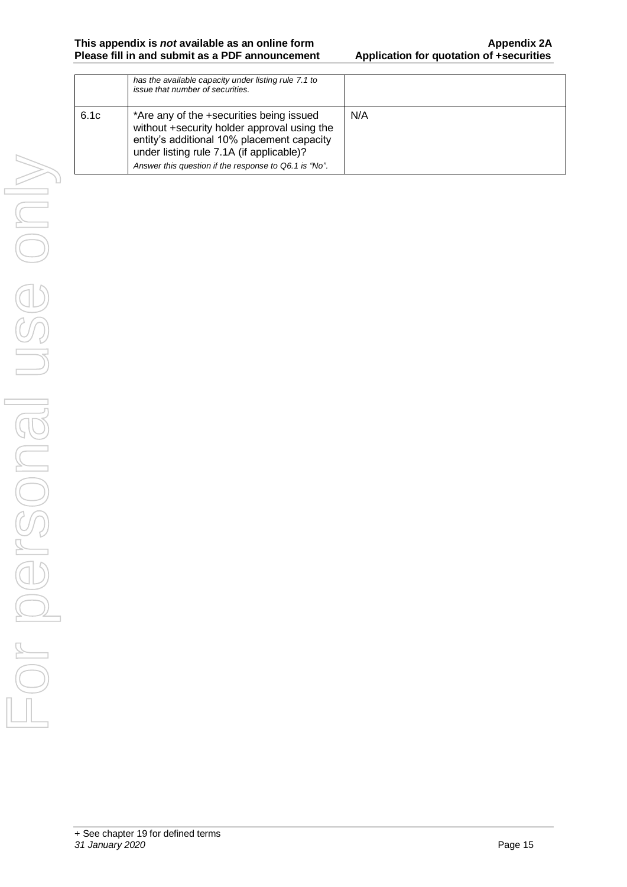| has the available capacity under listing rule 7.1 to<br>issue that number of securities.                                                                                          |                                                       |
|-----------------------------------------------------------------------------------------------------------------------------------------------------------------------------------|-------------------------------------------------------|
| *Are any of the +securities being issued<br>without +security holder approval using the<br>entity's additional 10% placement capacity<br>under listing rule 7.1A (if applicable)? | N/A                                                   |
|                                                                                                                                                                                   | Answer this question if the response to Q6.1 is "No". |